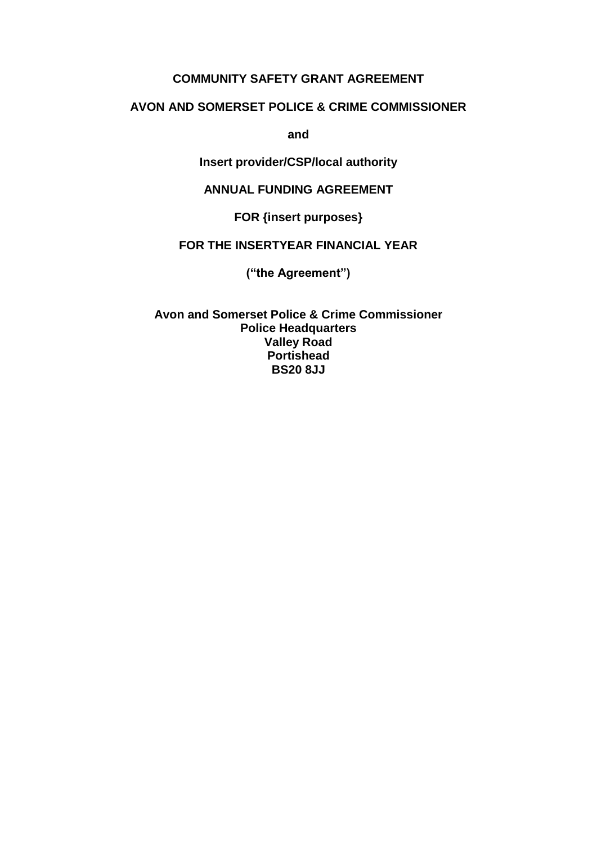#### **COMMUNITY SAFETY GRANT AGREEMENT**

## **AVON AND SOMERSET POLICE & CRIME COMMISSIONER**

**and**

### **Insert provider/CSP/local authority**

#### **ANNUAL FUNDING AGREEMENT**

**FOR {insert purposes}**

## **FOR THE INSERTYEAR FINANCIAL YEAR**

**("the Agreement")**

**Avon and Somerset Police & Crime Commissioner Police Headquarters Valley Road Portishead BS20 8JJ**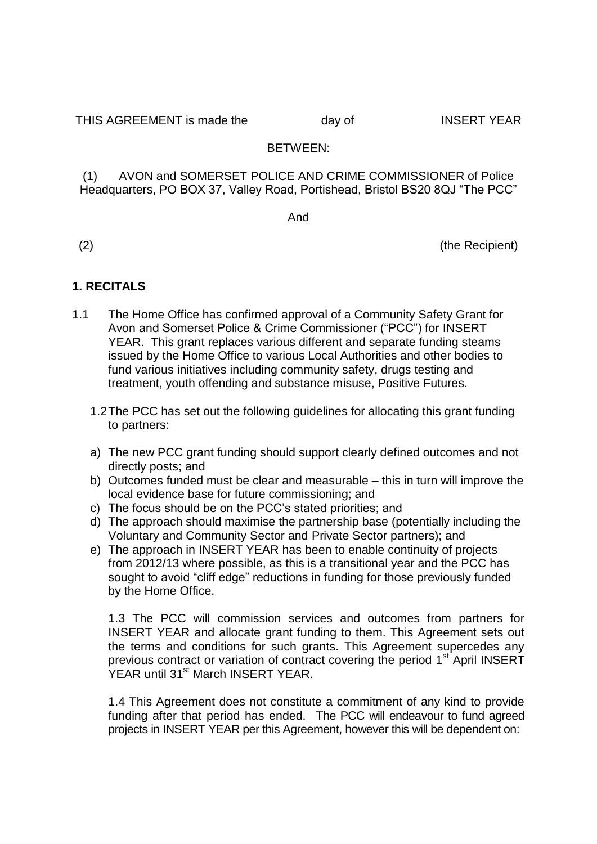THIS AGREEMENT is made the day of INSERT YEAR

## BETWEEN:

(1) AVON and SOMERSET POLICE AND CRIME COMMISSIONER of Police Headquarters, PO BOX 37, Valley Road, Portishead, Bristol BS20 8QJ "The PCC"

And

(2) (the Recipient)

# **1. RECITALS**

- 1.1 The Home Office has confirmed approval of a Community Safety Grant for Avon and Somerset Police & Crime Commissioner ("PCC") for INSERT YEAR. This grant replaces various different and separate funding steams issued by the Home Office to various Local Authorities and other bodies to fund various initiatives including community safety, drugs testing and treatment, youth offending and substance misuse, Positive Futures.
	- 1.2The PCC has set out the following guidelines for allocating this grant funding to partners:
	- a) The new PCC grant funding should support clearly defined outcomes and not directly posts; and
	- b) Outcomes funded must be clear and measurable this in turn will improve the local evidence base for future commissioning; and
	- c) The focus should be on the PCC's stated priorities; and
	- d) The approach should maximise the partnership base (potentially including the Voluntary and Community Sector and Private Sector partners); and
	- e) The approach in INSERT YEAR has been to enable continuity of projects from 2012/13 where possible, as this is a transitional year and the PCC has sought to avoid "cliff edge" reductions in funding for those previously funded by the Home Office.

1.3 The PCC will commission services and outcomes from partners for INSERT YEAR and allocate grant funding to them. This Agreement sets out the terms and conditions for such grants. This Agreement supercedes any previous contract or variation of contract covering the period 1<sup>st</sup> April INSERT YEAR until 31<sup>st</sup> March INSERT YEAR.

1.4 This Agreement does not constitute a commitment of any kind to provide funding after that period has ended. The PCC will endeavour to fund agreed projects in INSERT YEAR per this Agreement, however this will be dependent on: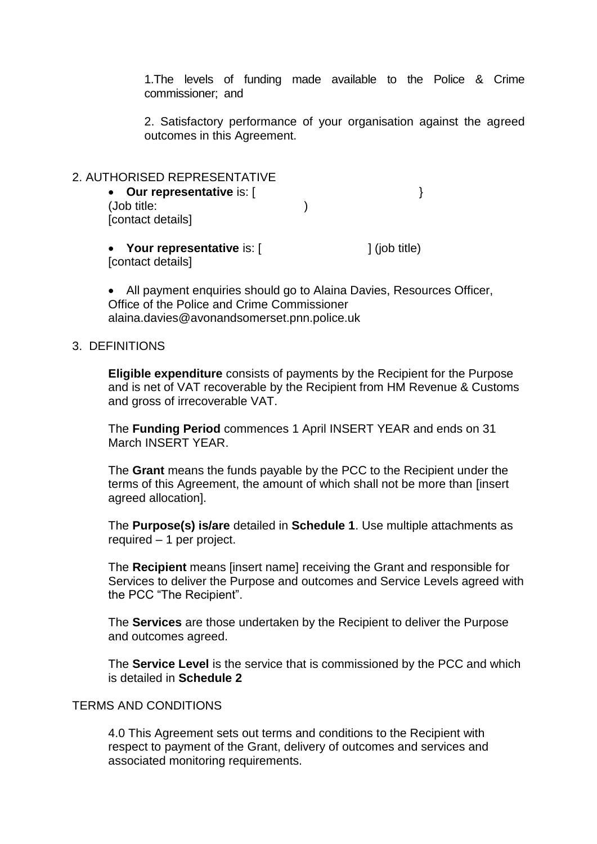1.The levels of funding made available to the Police & Crime commissioner; and

2. Satisfactory performance of your organisation against the agreed outcomes in this Agreement.

| 2. AUTHORISED REPRESENTATIVE<br>• Our representative is: [<br>(Job title:<br>[contact details] |                           |
|------------------------------------------------------------------------------------------------|---------------------------|
| • Your representative is: [<br>[contact details]                                               | $\frac{1}{1}$ (job title) |

 All payment enquiries should go to Alaina Davies, Resources Officer, Office of the Police and Crime Commissioner alaina.davies@avonandsomerset.pnn.police.uk

#### 3. DEFINITIONS

**Eligible expenditure** consists of payments by the Recipient for the Purpose and is net of VAT recoverable by the Recipient from HM Revenue & Customs and gross of irrecoverable VAT.

The **Funding Period** commences 1 April INSERT YEAR and ends on 31 March INSERT YEAR.

The **Grant** means the funds payable by the PCC to the Recipient under the terms of this Agreement, the amount of which shall not be more than [insert agreed allocation].

The **Purpose(s) is/are** detailed in **Schedule 1**. Use multiple attachments as required – 1 per project.

The **Recipient** means [insert name] receiving the Grant and responsible for Services to deliver the Purpose and outcomes and Service Levels agreed with the PCC "The Recipient".

The **Services** are those undertaken by the Recipient to deliver the Purpose and outcomes agreed.

The **Service Level** is the service that is commissioned by the PCC and which is detailed in **Schedule 2**

#### TERMS AND CONDITIONS

4.0 This Agreement sets out terms and conditions to the Recipient with respect to payment of the Grant, delivery of outcomes and services and associated monitoring requirements.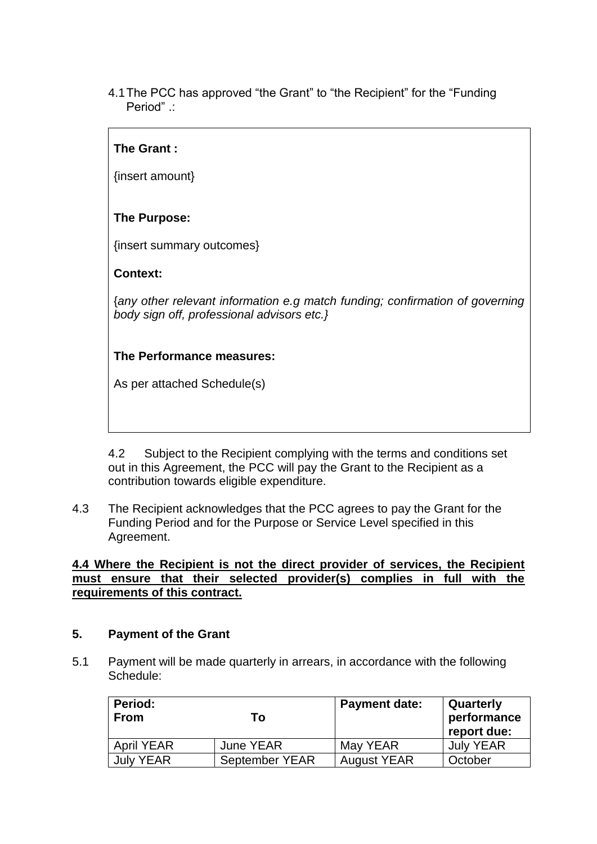4.1The PCC has approved "the Grant" to "the Recipient" for the "Funding Period" .:

## **The Grant :**

{insert amount}

## **The Purpose:**

{insert summary outcomes}

### **Context:**

{*any other relevant information e.g match funding; confirmation of governing body sign off, professional advisors etc.}*

## **The Performance measures:**

As per attached Schedule(s)

4.2 Subject to the Recipient complying with the terms and conditions set out in this Agreement, the PCC will pay the Grant to the Recipient as a contribution towards eligible expenditure.

4.3 The Recipient acknowledges that the PCC agrees to pay the Grant for the Funding Period and for the Purpose or Service Level specified in this Agreement.

**4.4 Where the Recipient is not the direct provider of services, the Recipient must ensure that their selected provider(s) complies in full with the requirements of this contract.** 

#### **5. Payment of the Grant**

5.1 Payment will be made quarterly in arrears, in accordance with the following Schedule:

| <b>Period:</b><br><b>From</b> | Т٥               | <b>Payment date:</b> | Quarterly<br>performance<br>report due: |
|-------------------------------|------------------|----------------------|-----------------------------------------|
| <b>April YEAR</b>             | <b>June YEAR</b> | May YEAR             | <b>July YEAR</b>                        |
| <b>July YEAR</b>              | September YEAR   | <b>August YEAR</b>   | October                                 |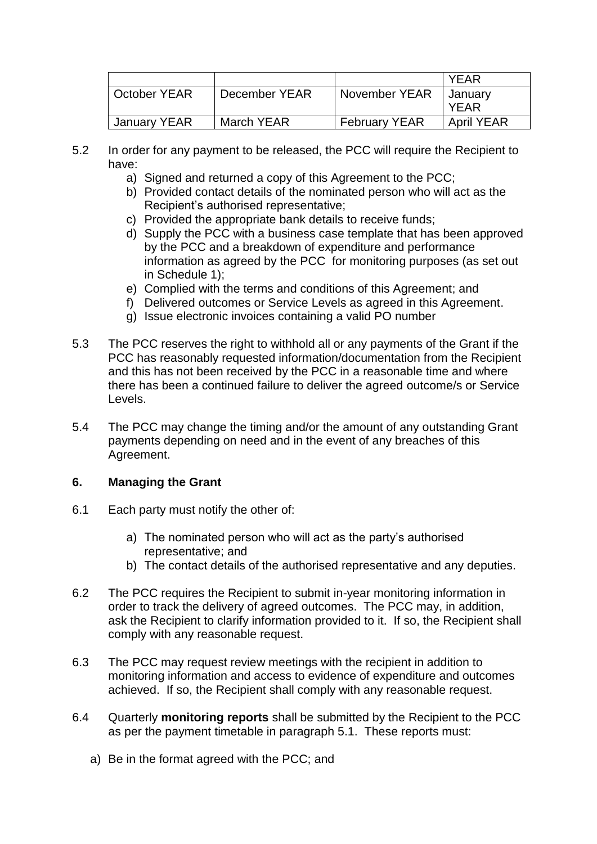|              |               |                      | YFAR              |
|--------------|---------------|----------------------|-------------------|
| October YEAR | December YEAR | November YEAR        | January           |
|              |               |                      | YFAR              |
| January YEAR | March YEAR    | <b>February YEAR</b> | <b>April YEAR</b> |

- 5.2 In order for any payment to be released, the PCC will require the Recipient to have:
	- a) Signed and returned a copy of this Agreement to the PCC;
	- b) Provided contact details of the nominated person who will act as the Recipient's authorised representative;
	- c) Provided the appropriate bank details to receive funds;
	- d) Supply the PCC with a business case template that has been approved by the PCC and a breakdown of expenditure and performance information as agreed by the PCC for monitoring purposes (as set out in Schedule 1);
	- e) Complied with the terms and conditions of this Agreement; and
	- f) Delivered outcomes or Service Levels as agreed in this Agreement.
	- g) Issue electronic invoices containing a valid PO number
- 5.3 The PCC reserves the right to withhold all or any payments of the Grant if the PCC has reasonably requested information/documentation from the Recipient and this has not been received by the PCC in a reasonable time and where there has been a continued failure to deliver the agreed outcome/s or Service Levels.
- 5.4 The PCC may change the timing and/or the amount of any outstanding Grant payments depending on need and in the event of any breaches of this Agreement.

### **6. Managing the Grant**

- 6.1 Each party must notify the other of:
	- a) The nominated person who will act as the party's authorised representative; and
	- b) The contact details of the authorised representative and any deputies.
- 6.2 The PCC requires the Recipient to submit in-year monitoring information in order to track the delivery of agreed outcomes. The PCC may, in addition, ask the Recipient to clarify information provided to it. If so, the Recipient shall comply with any reasonable request.
- 6.3 The PCC may request review meetings with the recipient in addition to monitoring information and access to evidence of expenditure and outcomes achieved. If so, the Recipient shall comply with any reasonable request.
- 6.4 Quarterly **monitoring reports** shall be submitted by the Recipient to the PCC as per the payment timetable in paragraph 5.1. These reports must:
	- a) Be in the format agreed with the PCC; and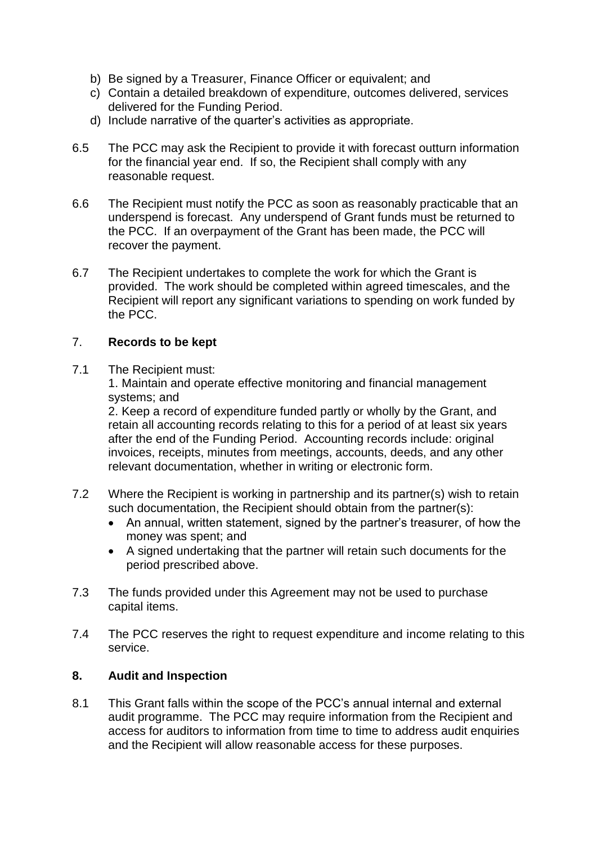- b) Be signed by a Treasurer, Finance Officer or equivalent; and
- c) Contain a detailed breakdown of expenditure, outcomes delivered, services delivered for the Funding Period.
- d) Include narrative of the quarter's activities as appropriate.
- 6.5 The PCC may ask the Recipient to provide it with forecast outturn information for the financial year end. If so, the Recipient shall comply with any reasonable request.
- 6.6 The Recipient must notify the PCC as soon as reasonably practicable that an underspend is forecast. Any underspend of Grant funds must be returned to the PCC. If an overpayment of the Grant has been made, the PCC will recover the payment.
- 6.7 The Recipient undertakes to complete the work for which the Grant is provided. The work should be completed within agreed timescales, and the Recipient will report any significant variations to spending on work funded by the PCC.

## 7. **Records to be kept**

7.1 The Recipient must:

1. Maintain and operate effective monitoring and financial management systems; and

2. Keep a record of expenditure funded partly or wholly by the Grant, and retain all accounting records relating to this for a period of at least six years after the end of the Funding Period. Accounting records include: original invoices, receipts, minutes from meetings, accounts, deeds, and any other relevant documentation, whether in writing or electronic form.

- 7.2 Where the Recipient is working in partnership and its partner(s) wish to retain such documentation, the Recipient should obtain from the partner(s):
	- An annual, written statement, signed by the partner's treasurer, of how the money was spent; and
	- A signed undertaking that the partner will retain such documents for the period prescribed above.
- 7.3 The funds provided under this Agreement may not be used to purchase capital items.
- 7.4 The PCC reserves the right to request expenditure and income relating to this service.

### **8. Audit and Inspection**

8.1 This Grant falls within the scope of the PCC's annual internal and external audit programme. The PCC may require information from the Recipient and access for auditors to information from time to time to address audit enquiries and the Recipient will allow reasonable access for these purposes.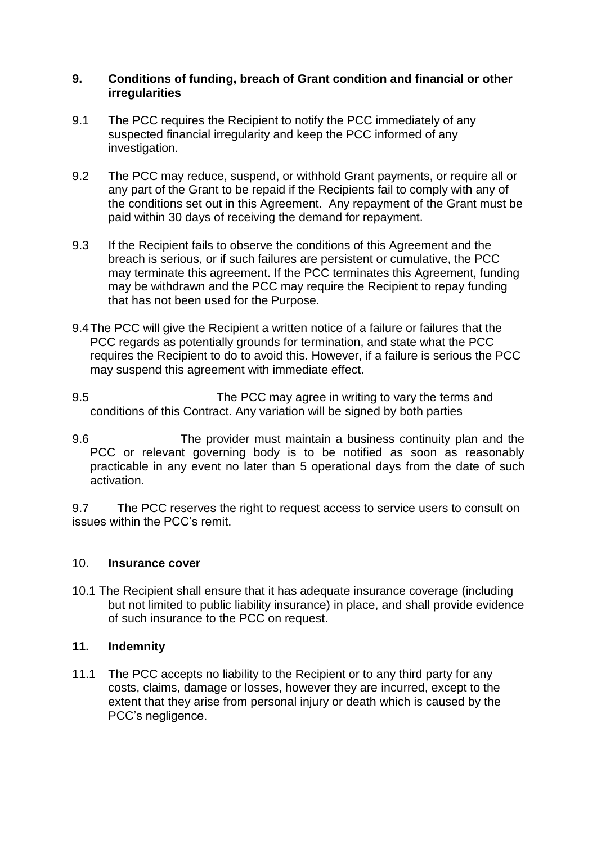#### **9. Conditions of funding, breach of Grant condition and financial or other irregularities**

- 9.1 The PCC requires the Recipient to notify the PCC immediately of any suspected financial irregularity and keep the PCC informed of any investigation.
- 9.2 The PCC may reduce, suspend, or withhold Grant payments, or require all or any part of the Grant to be repaid if the Recipients fail to comply with any of the conditions set out in this Agreement. Any repayment of the Grant must be paid within 30 days of receiving the demand for repayment.
- 9.3 If the Recipient fails to observe the conditions of this Agreement and the breach is serious, or if such failures are persistent or cumulative, the PCC may terminate this agreement. If the PCC terminates this Agreement, funding may be withdrawn and the PCC may require the Recipient to repay funding that has not been used for the Purpose.
- 9.4The PCC will give the Recipient a written notice of a failure or failures that the PCC regards as potentially grounds for termination, and state what the PCC requires the Recipient to do to avoid this. However, if a failure is serious the PCC may suspend this agreement with immediate effect.
- 9.5 The PCC may agree in writing to vary the terms and conditions of this Contract. Any variation will be signed by both parties
- 9.6 The provider must maintain a business continuity plan and the PCC or relevant governing body is to be notified as soon as reasonably practicable in any event no later than 5 operational days from the date of such activation.

9.7 The PCC reserves the right to request access to service users to consult on issues within the PCC's remit.

### 10. **Insurance cover**

10.1 The Recipient shall ensure that it has adequate insurance coverage (including but not limited to public liability insurance) in place, and shall provide evidence of such insurance to the PCC on request.

## **11. Indemnity**

11.1 The PCC accepts no liability to the Recipient or to any third party for any costs, claims, damage or losses, however they are incurred, except to the extent that they arise from personal injury or death which is caused by the PCC's negligence.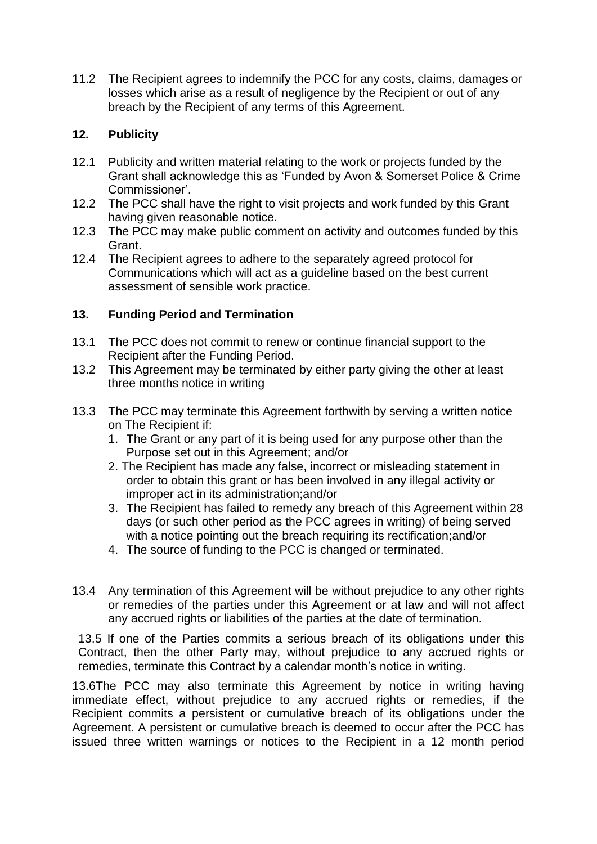11.2 The Recipient agrees to indemnify the PCC for any costs, claims, damages or losses which arise as a result of negligence by the Recipient or out of any breach by the Recipient of any terms of this Agreement.

## **12. Publicity**

- 12.1 Publicity and written material relating to the work or projects funded by the Grant shall acknowledge this as 'Funded by Avon & Somerset Police & Crime Commissioner'.
- 12.2 The PCC shall have the right to visit projects and work funded by this Grant having given reasonable notice.
- 12.3 The PCC may make public comment on activity and outcomes funded by this Grant.
- 12.4 The Recipient agrees to adhere to the separately agreed protocol for Communications which will act as a guideline based on the best current assessment of sensible work practice.

## **13. Funding Period and Termination**

- 13.1 The PCC does not commit to renew or continue financial support to the Recipient after the Funding Period.
- 13.2 This Agreement may be terminated by either party giving the other at least three months notice in writing
- 13.3 The PCC may terminate this Agreement forthwith by serving a written notice on The Recipient if:
	- 1. The Grant or any part of it is being used for any purpose other than the Purpose set out in this Agreement; and/or
	- 2. The Recipient has made any false, incorrect or misleading statement in order to obtain this grant or has been involved in any illegal activity or improper act in its administration;and/or
	- 3. The Recipient has failed to remedy any breach of this Agreement within 28 days (or such other period as the PCC agrees in writing) of being served with a notice pointing out the breach requiring its rectification;and/or
	- 4. The source of funding to the PCC is changed or terminated.
- 13.4 Any termination of this Agreement will be without prejudice to any other rights or remedies of the parties under this Agreement or at law and will not affect any accrued rights or liabilities of the parties at the date of termination.

13.5 If one of the Parties commits a serious breach of its obligations under this Contract, then the other Party may, without prejudice to any accrued rights or remedies, terminate this Contract by a calendar month's notice in writing.

13.6The PCC may also terminate this Agreement by notice in writing having immediate effect, without prejudice to any accrued rights or remedies, if the Recipient commits a persistent or cumulative breach of its obligations under the Agreement. A persistent or cumulative breach is deemed to occur after the PCC has issued three written warnings or notices to the Recipient in a 12 month period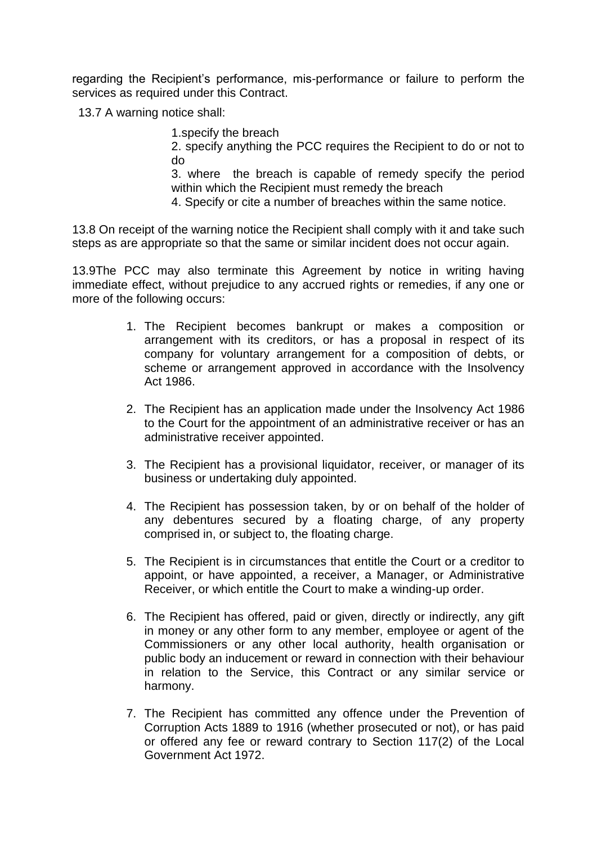regarding the Recipient's performance, mis-performance or failure to perform the services as required under this Contract.

13.7 A warning notice shall:

1.specify the breach

2. specify anything the PCC requires the Recipient to do or not to do

3. where the breach is capable of remedy specify the period within which the Recipient must remedy the breach

4. Specify or cite a number of breaches within the same notice.

13.8 On receipt of the warning notice the Recipient shall comply with it and take such steps as are appropriate so that the same or similar incident does not occur again.

13.9The PCC may also terminate this Agreement by notice in writing having immediate effect, without prejudice to any accrued rights or remedies, if any one or more of the following occurs:

- 1. The Recipient becomes bankrupt or makes a composition or arrangement with its creditors, or has a proposal in respect of its company for voluntary arrangement for a composition of debts, or scheme or arrangement approved in accordance with the Insolvency Act 1986.
- 2. The Recipient has an application made under the Insolvency Act 1986 to the Court for the appointment of an administrative receiver or has an administrative receiver appointed.
- 3. The Recipient has a provisional liquidator, receiver, or manager of its business or undertaking duly appointed.
- 4. The Recipient has possession taken, by or on behalf of the holder of any debentures secured by a floating charge, of any property comprised in, or subject to, the floating charge.
- 5. The Recipient is in circumstances that entitle the Court or a creditor to appoint, or have appointed, a receiver, a Manager, or Administrative Receiver, or which entitle the Court to make a winding-up order.
- 6. The Recipient has offered, paid or given, directly or indirectly, any gift in money or any other form to any member, employee or agent of the Commissioners or any other local authority, health organisation or public body an inducement or reward in connection with their behaviour in relation to the Service, this Contract or any similar service or harmony.
- 7. The Recipient has committed any offence under the Prevention of Corruption Acts 1889 to 1916 (whether prosecuted or not), or has paid or offered any fee or reward contrary to Section 117(2) of the Local Government Act 1972.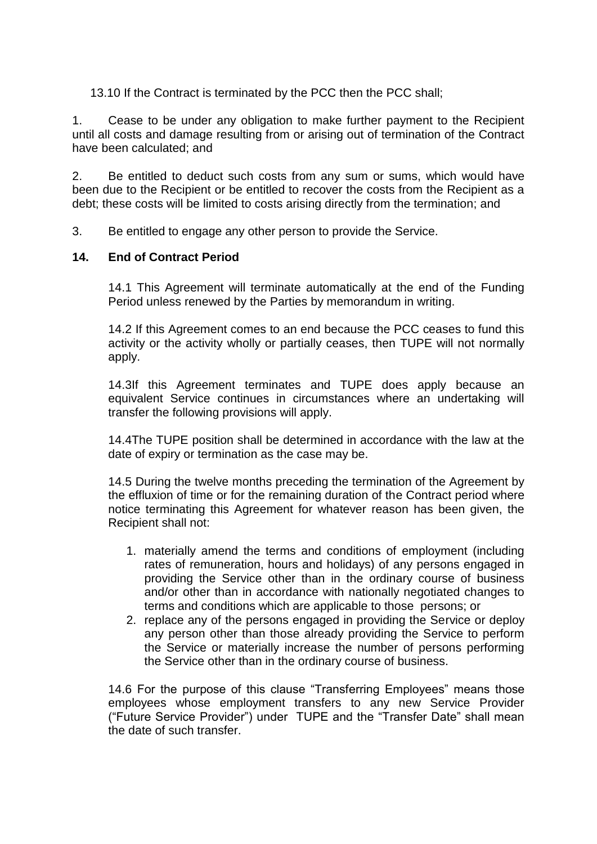13.10 If the Contract is terminated by the PCC then the PCC shall;

1. Cease to be under any obligation to make further payment to the Recipient until all costs and damage resulting from or arising out of termination of the Contract have been calculated; and

2. Be entitled to deduct such costs from any sum or sums, which would have been due to the Recipient or be entitled to recover the costs from the Recipient as a debt; these costs will be limited to costs arising directly from the termination; and

3. Be entitled to engage any other person to provide the Service.

### **14. End of Contract Period**

14.1 This Agreement will terminate automatically at the end of the Funding Period unless renewed by the Parties by memorandum in writing.

14.2 If this Agreement comes to an end because the PCC ceases to fund this activity or the activity wholly or partially ceases, then TUPE will not normally apply.

14.3If this Agreement terminates and TUPE does apply because an equivalent Service continues in circumstances where an undertaking will transfer the following provisions will apply.

14.4The TUPE position shall be determined in accordance with the law at the date of expiry or termination as the case may be.

14.5 During the twelve months preceding the termination of the Agreement by the effluxion of time or for the remaining duration of the Contract period where notice terminating this Agreement for whatever reason has been given, the Recipient shall not:

- 1. materially amend the terms and conditions of employment (including rates of remuneration, hours and holidays) of any persons engaged in providing the Service other than in the ordinary course of business and/or other than in accordance with nationally negotiated changes to terms and conditions which are applicable to those persons; or
- 2. replace any of the persons engaged in providing the Service or deploy any person other than those already providing the Service to perform the Service or materially increase the number of persons performing the Service other than in the ordinary course of business.

14.6 For the purpose of this clause "Transferring Employees" means those employees whose employment transfers to any new Service Provider ("Future Service Provider") under TUPE and the "Transfer Date" shall mean the date of such transfer.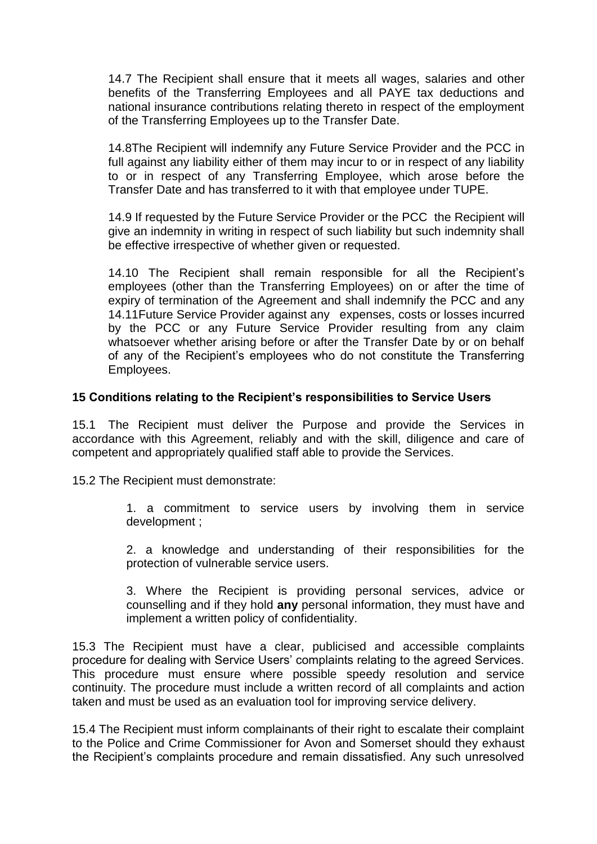14.7 The Recipient shall ensure that it meets all wages, salaries and other benefits of the Transferring Employees and all PAYE tax deductions and national insurance contributions relating thereto in respect of the employment of the Transferring Employees up to the Transfer Date.

14.8The Recipient will indemnify any Future Service Provider and the PCC in full against any liability either of them may incur to or in respect of any liability to or in respect of any Transferring Employee, which arose before the Transfer Date and has transferred to it with that employee under TUPE.

14.9 If requested by the Future Service Provider or the PCC the Recipient will give an indemnity in writing in respect of such liability but such indemnity shall be effective irrespective of whether given or requested.

14.10 The Recipient shall remain responsible for all the Recipient's employees (other than the Transferring Employees) on or after the time of expiry of termination of the Agreement and shall indemnify the PCC and any 14.11Future Service Provider against any expenses, costs or losses incurred by the PCC or any Future Service Provider resulting from any claim whatsoever whether arising before or after the Transfer Date by or on behalf of any of the Recipient's employees who do not constitute the Transferring Employees.

#### **15 Conditions relating to the Recipient's responsibilities to Service Users**

15.1 The Recipient must deliver the Purpose and provide the Services in accordance with this Agreement, reliably and with the skill, diligence and care of competent and appropriately qualified staff able to provide the Services.

15.2 The Recipient must demonstrate:

1. a commitment to service users by involving them in service development ;

2. a knowledge and understanding of their responsibilities for the protection of vulnerable service users.

3. Where the Recipient is providing personal services, advice or counselling and if they hold **any** personal information, they must have and implement a written policy of confidentiality.

15.3 The Recipient must have a clear, publicised and accessible complaints procedure for dealing with Service Users' complaints relating to the agreed Services. This procedure must ensure where possible speedy resolution and service continuity. The procedure must include a written record of all complaints and action taken and must be used as an evaluation tool for improving service delivery.

15.4 The Recipient must inform complainants of their right to escalate their complaint to the Police and Crime Commissioner for Avon and Somerset should they exhaust the Recipient's complaints procedure and remain dissatisfied. Any such unresolved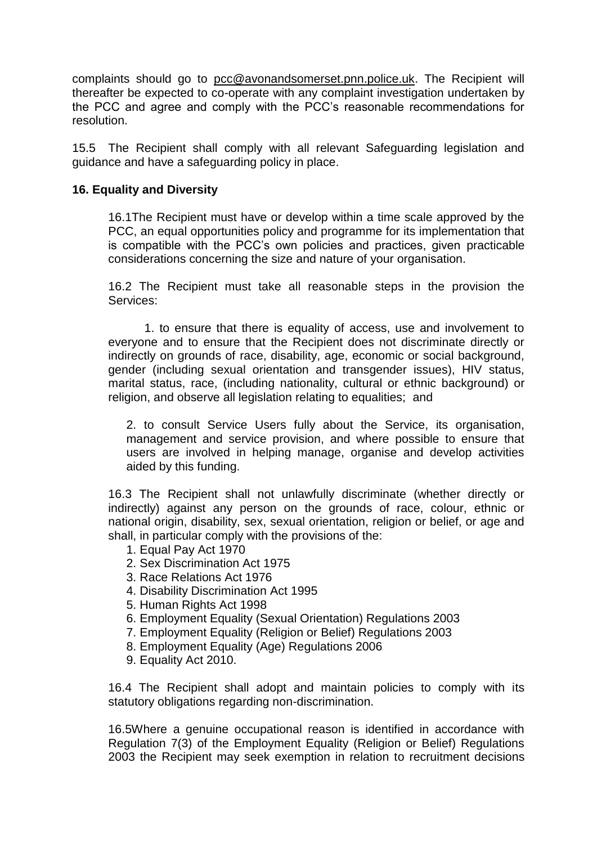complaints should go to [pcc@avonandsomerset.pnn.police.uk.](mailto:pcc@avonandsomerset.pnn.police.uk) The Recipient will thereafter be expected to co-operate with any complaint investigation undertaken by the PCC and agree and comply with the PCC's reasonable recommendations for resolution.

15.5 The Recipient shall comply with all relevant Safeguarding legislation and guidance and have a safeguarding policy in place.

### **16. Equality and Diversity**

16.1The Recipient must have or develop within a time scale approved by the PCC, an equal opportunities policy and programme for its implementation that is compatible with the PCC's own policies and practices, given practicable considerations concerning the size and nature of your organisation.

16.2 The Recipient must take all reasonable steps in the provision the Services:

1. to ensure that there is equality of access, use and involvement to everyone and to ensure that the Recipient does not discriminate directly or indirectly on grounds of race, disability, age, economic or social background, gender (including sexual orientation and transgender issues), HIV status, marital status, race, (including nationality, cultural or ethnic background) or religion, and observe all legislation relating to equalities; and

2. to consult Service Users fully about the Service, its organisation, management and service provision, and where possible to ensure that users are involved in helping manage, organise and develop activities aided by this funding.

16.3 The Recipient shall not unlawfully discriminate (whether directly or indirectly) against any person on the grounds of race, colour, ethnic or national origin, disability, sex, sexual orientation, religion or belief, or age and shall, in particular comply with the provisions of the:

- 1. Equal Pay Act 1970
- 2. Sex Discrimination Act 1975
- 3. Race Relations Act 1976
- 4. Disability Discrimination Act 1995
- 5. Human Rights Act 1998
- 6. Employment Equality (Sexual Orientation) Regulations 2003
- 7. Employment Equality (Religion or Belief) Regulations 2003
- 8. Employment Equality (Age) Regulations 2006
- 9. Equality Act 2010.

16.4 The Recipient shall adopt and maintain policies to comply with its statutory obligations regarding non-discrimination.

16.5Where a genuine occupational reason is identified in accordance with Regulation 7(3) of the Employment Equality (Religion or Belief) Regulations 2003 the Recipient may seek exemption in relation to recruitment decisions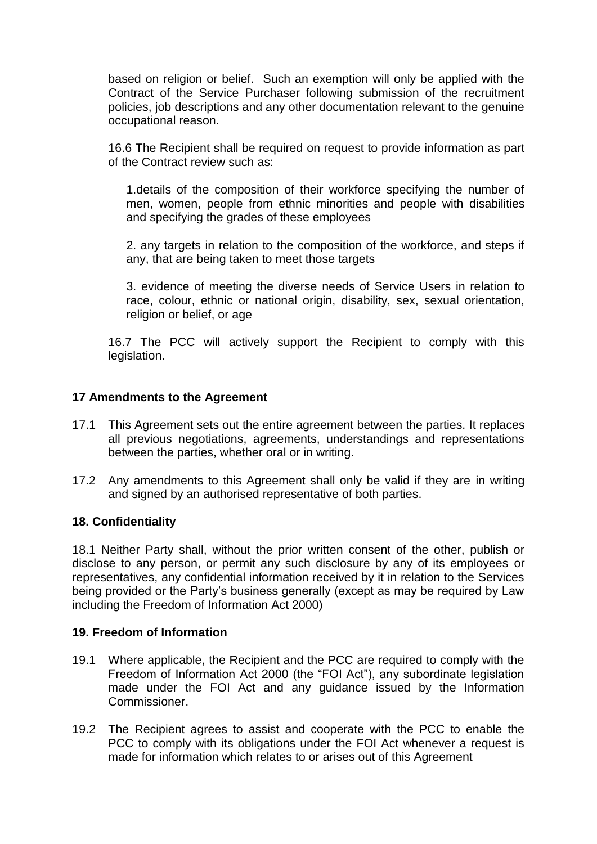based on religion or belief. Such an exemption will only be applied with the Contract of the Service Purchaser following submission of the recruitment policies, job descriptions and any other documentation relevant to the genuine occupational reason.

16.6 The Recipient shall be required on request to provide information as part of the Contract review such as:

1.details of the composition of their workforce specifying the number of men, women, people from ethnic minorities and people with disabilities and specifying the grades of these employees

2. any targets in relation to the composition of the workforce, and steps if any, that are being taken to meet those targets

3. evidence of meeting the diverse needs of Service Users in relation to race, colour, ethnic or national origin, disability, sex, sexual orientation, religion or belief, or age

16.7 The PCC will actively support the Recipient to comply with this legislation.

### **17 Amendments to the Agreement**

- 17.1 This Agreement sets out the entire agreement between the parties. It replaces all previous negotiations, agreements, understandings and representations between the parties, whether oral or in writing.
- 17.2 Any amendments to this Agreement shall only be valid if they are in writing and signed by an authorised representative of both parties.

### **18. Confidentiality**

18.1 Neither Party shall, without the prior written consent of the other, publish or disclose to any person, or permit any such disclosure by any of its employees or representatives, any confidential information received by it in relation to the Services being provided or the Party's business generally (except as may be required by Law including the Freedom of Information Act 2000)

### **19. Freedom of Information**

- 19.1 Where applicable, the Recipient and the PCC are required to comply with the Freedom of Information Act 2000 (the "FOI Act"), any subordinate legislation made under the FOI Act and any guidance issued by the Information Commissioner.
- 19.2 The Recipient agrees to assist and cooperate with the PCC to enable the PCC to comply with its obligations under the FOI Act whenever a request is made for information which relates to or arises out of this Agreement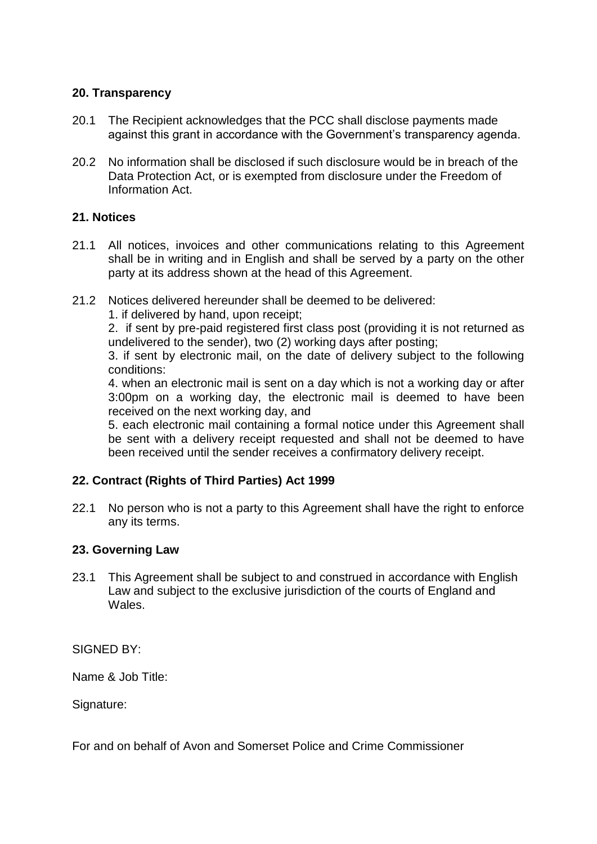### **20. Transparency**

- 20.1 The Recipient acknowledges that the PCC shall disclose payments made against this grant in accordance with the Government's transparency agenda.
- 20.2 No information shall be disclosed if such disclosure would be in breach of the Data Protection Act, or is exempted from disclosure under the Freedom of Information Act.

## **21. Notices**

- 21.1 All notices, invoices and other communications relating to this Agreement shall be in writing and in English and shall be served by a party on the other party at its address shown at the head of this Agreement.
- 21.2 Notices delivered hereunder shall be deemed to be delivered:
	- 1. if delivered by hand, upon receipt;

2. if sent by pre-paid registered first class post (providing it is not returned as undelivered to the sender), two (2) working days after posting;

3. if sent by electronic mail, on the date of delivery subject to the following conditions:

4. when an electronic mail is sent on a day which is not a working day or after 3:00pm on a working day, the electronic mail is deemed to have been received on the next working day, and

5. each electronic mail containing a formal notice under this Agreement shall be sent with a delivery receipt requested and shall not be deemed to have been received until the sender receives a confirmatory delivery receipt.

### **22. Contract (Rights of Third Parties) Act 1999**

22.1 No person who is not a party to this Agreement shall have the right to enforce any its terms.

### **23. Governing Law**

23.1 This Agreement shall be subject to and construed in accordance with English Law and subject to the exclusive jurisdiction of the courts of England and Wales.

SIGNED BY:

Name & Job Title:

Signature:

For and on behalf of Avon and Somerset Police and Crime Commissioner